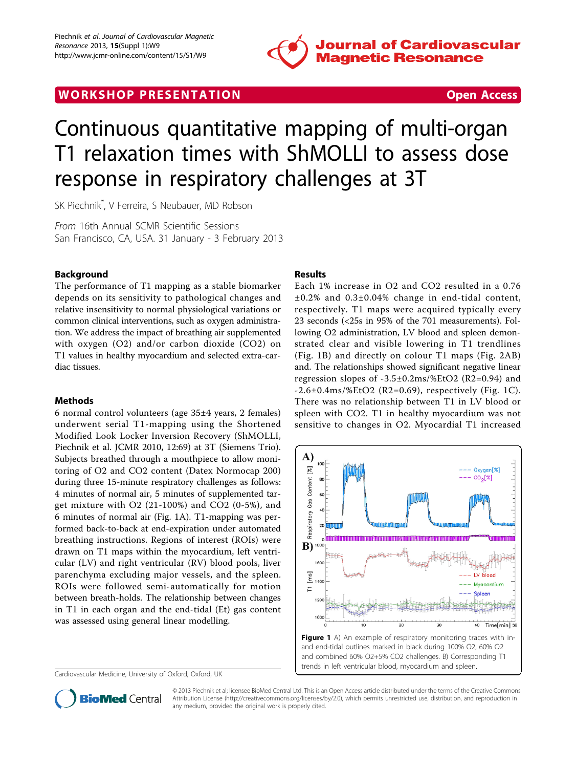

# <span id="page-0-0"></span>WORK SHOP PRESENTATION **WORK SHOP PRESENTATION**



# Continuous quantitative mapping of multi-organ T1 relaxation times with ShMOLLI to assess dose response in respiratory challenges at 3T

SK Piechnik\* , V Ferreira, S Neubauer, MD Robson

From 16th Annual SCMR Scientific Sessions San Francisco, CA, USA. 31 January - 3 February 2013

### Background

The performance of T1 mapping as a stable biomarker depends on its sensitivity to pathological changes and relative insensitivity to normal physiological variations or common clinical interventions, such as oxygen administration. We address the impact of breathing air supplemented with oxygen (O2) and/or carbon dioxide (CO2) on T1 values in healthy myocardium and selected extra-cardiac tissues.

#### Methods

6 normal control volunteers (age 35±4 years, 2 females) underwent serial T1-mapping using the Shortened Modified Look Locker Inversion Recovery (ShMOLLI, Piechnik et al. JCMR 2010, 12:69) at 3T (Siemens Trio). Subjects breathed through a mouthpiece to allow monitoring of O2 and CO2 content (Datex Normocap 200) during three 15-minute respiratory challenges as follows: 4 minutes of normal air, 5 minutes of supplemented target mixture with O2 (21-100%) and CO2 (0-5%), and 6 minutes of normal air (Fig. 1A). T1-mapping was performed back-to-back at end-expiration under automated breathing instructions. Regions of interest (ROIs) were drawn on T1 maps within the myocardium, left ventricular (LV) and right ventricular (RV) blood pools, liver parenchyma excluding major vessels, and the spleen. ROIs were followed semi-automatically for motion between breath-holds. The relationship between changes in T1 in each organ and the end-tidal (Et) gas content was assessed using general linear modelling.

Cardiovascular Medicine, University of Oxford, Oxford, UK

#### Results

Each 1% increase in O2 and CO2 resulted in a 0.76 ±0.2% and 0.3±0.04% change in end-tidal content, respectively. T1 maps were acquired typically every 23 seconds (<25s in 95% of the 701 measurements). Following O2 administration, LV blood and spleen demonstrated clear and visible lowering in T1 trendlines (Fig. 1B) and directly on colour T1 maps (Fig. [2AB](#page-1-0)) and. The relationships showed significant negative linear regression slopes of  $-3.5\pm0.2$ ms/%EtO2 (R2=0.94) and  $-2.6\pm0.4$ ms/%EtO2 (R2=0.69), respectively (Fig. 1C). There was no relationship between T1 in LV blood or spleen with CO2. T1 in healthy myocardium was not sensitive to changes in O2. Myocardial T1 increased





© 2013 Piechnik et al; licensee BioMed Central Ltd. This is an Open Access article distributed under the terms of the Creative Commons Attribution License [\(http://creativecommons.org/licenses/by/2.0](http://creativecommons.org/licenses/by/2.0)), which permits unrestricted use, distribution, and reproduction in any medium, provided the original work is properly cited.